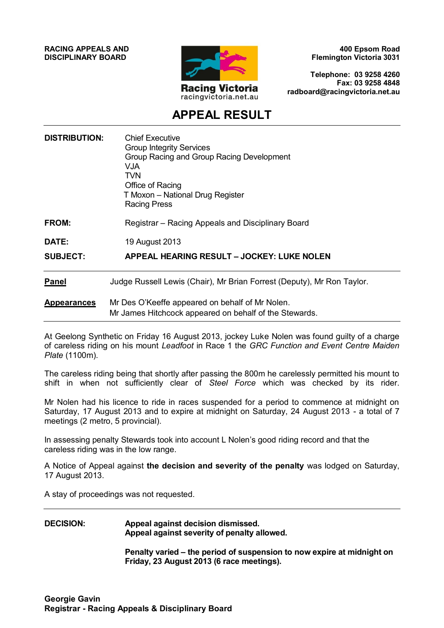**RACING APPEALS AND DISCIPLINARY BOARD**



**400 Epsom Road Flemington Victoria 3031**

**Telephone: 03 9258 4260 Fax: 03 9258 4848 radboard@racingvictoria.net.au**

# **APPEAL RESULT**

| <b>DISTRIBUTION:</b> | <b>Chief Executive</b><br><b>Group Integrity Services</b><br>Group Racing and Group Racing Development<br>V.JA.<br><b>TVN</b><br>Office of Racing<br>T Moxon - National Drug Register<br><b>Racing Press</b> |
|----------------------|--------------------------------------------------------------------------------------------------------------------------------------------------------------------------------------------------------------|
| <b>FROM:</b>         | Registrar – Racing Appeals and Disciplinary Board                                                                                                                                                            |
| DATE:                | 19 August 2013                                                                                                                                                                                               |
| <b>SUBJECT:</b>      | <b>APPEAL HEARING RESULT - JOCKEY: LUKE NOLEN</b>                                                                                                                                                            |
| <b>Panel</b>         | Judge Russell Lewis (Chair), Mr Brian Forrest (Deputy), Mr Ron Taylor.                                                                                                                                       |
| <b>Appearances</b>   | Mr Des O'Keeffe appeared on behalf of Mr Nolen.<br>Mr James Hitchcock appeared on behalf of the Stewards.                                                                                                    |

At Geelong Synthetic on Friday 16 August 2013, jockey Luke Nolen was found guilty of a charge of careless riding on his mount *Leadfoot* in Race 1 the *GRC Function and Event Centre Maiden Plate* (1100m).

The careless riding being that shortly after passing the 800m he carelessly permitted his mount to shift in when not sufficiently clear of *Steel Force* which was checked by its rider.

Mr Nolen had his licence to ride in races suspended for a period to commence at midnight on Saturday, 17 August 2013 and to expire at midnight on Saturday, 24 August 2013 - a total of 7 meetings (2 metro, 5 provincial).

In assessing penalty Stewards took into account L Nolen's good riding record and that the careless riding was in the low range.

A Notice of Appeal against **the decision and severity of the penalty** was lodged on Saturday, 17 August 2013.

A stay of proceedings was not requested.

## **DECISION: Appeal against decision dismissed. Appeal against severity of penalty allowed.**

**Penalty varied – the period of suspension to now expire at midnight on Friday, 23 August 2013 (6 race meetings).**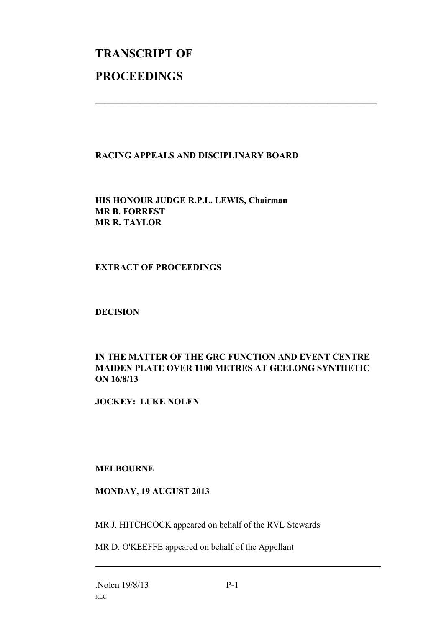# **TRANSCRIPT OF PROCEEDINGS**

### **RACING APPEALS AND DISCIPLINARY BOARD**

 $\mathcal{L}_\text{max}$  , and the contribution of the contribution of the contribution of the contribution of the contribution of the contribution of the contribution of the contribution of the contribution of the contribution of t

**HIS HONOUR JUDGE R.P.L. LEWIS, Chairman MR B. FORREST MR R. TAYLOR**

### **EXTRACT OF PROCEEDINGS**

#### **DECISION**

### **IN THE MATTER OF THE GRC FUNCTION AND EVENT CENTRE MAIDEN PLATE OVER 1100 METRES AT GEELONG SYNTHETIC ON 16/8/13**

**JOCKEY: LUKE NOLEN**

#### **MELBOURNE**

### **MONDAY, 19 AUGUST 2013**

MR J. HITCHCOCK appeared on behalf of the RVL Stewards

MR D. O'KEEFFE appeared on behalf of the Appellant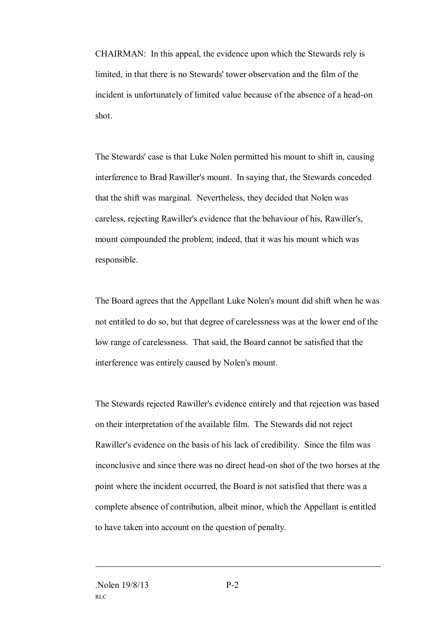CHAIRMAN: In this appeal, the evidence upon which the Stewards rely is limited, in that there is no Stewards' tower observation and the film of the incident is unfortunately of limited value because of the absence of a head-on shot.

The Stewards' case is that Luke Nolen permitted his mount to shift in, causing interference to Brad Rawiller's mount. In saying that, the Stewards conceded that the shift was marginal. Nevertheless, they decided that Nolen was careless, rejecting Rawiller's evidence that the behaviour of his, Rawiller's, mount compounded the problem; indeed, that it was his mount which was responsible.

The Board agrees that the Appellant Luke Nolen's mount did shift when he was not entitled to do so, but that degree of carelessness was at the lower end of the low range of carelessness. That said, the Board cannot be satisfied that the interference was entirely caused by Nolen's mount.

The Stewards rejected Rawiller's evidence entirely and that rejection was based on their interpretation of the available film. The Stewards did not reject Rawiller's evidence on the basis of his lack of credibility. Since the film was inconclusive and since there was no direct head-on shot of the two horses at the point where the incident occurred, the Board is not satisfied that there was a complete absence of contribution, albeit minor, which the Appellant is entitled to have taken into account on the question of penalty.